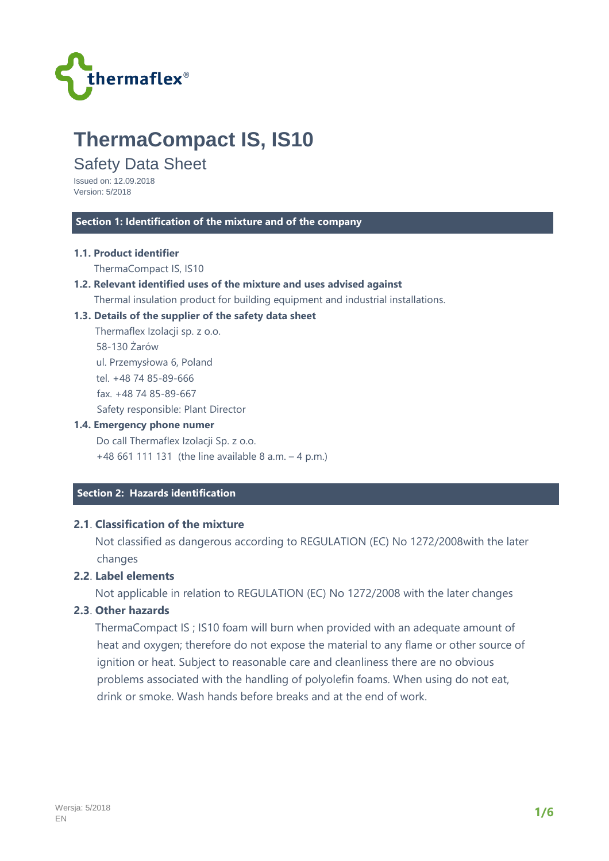

# **ThermaCompact IS, IS10**

# Safety Data Sheet

Issued on: 12.09.2018 Version: 5/2018

#### **Section 1: Identification of the mixture and of the company**

#### **1.1. Product identifier**

ThermaCompact IS, IS10

#### **1.2. Relevant identified uses of the mixture and uses advised against**

Thermal insulation product for building equipment and industrial installations.

#### **1.3. Details of the supplier of the safety data sheet**

 Thermaflex Izolacji sp. z o.o. 58-130 Żarów ul. Przemysłowa 6, Poland tel. +48 74 85-89-666 fax. +48 74 85-89-667 Safety responsible: Plant Director

#### **1.4. Emergency phone numer**

 Do call Thermaflex Izolacji Sp. z o.o. +48 661 111 131 (the line available 8 a.m. – 4 p.m.)

## **Section 2: Hazards identification**

# **2.1**. **Classification of the mixture**

 Not classified as dangerous according to REGULATION (EC) No 1272/2008with the later changes

# **2.2**. **Label elements**

Not applicable in relation to REGULATION (EC) No 1272/2008 with the later changes

#### **2.3**. **Other hazards**

 ThermaCompact IS ; IS10 foam will burn when provided with an adequate amount of heat and oxygen; therefore do not expose the material to any flame or other source of ignition or heat. Subject to reasonable care and cleanliness there are no obvious problems associated with the handling of polyolefin foams. When using do not eat, drink or smoke. Wash hands before breaks and at the end of work.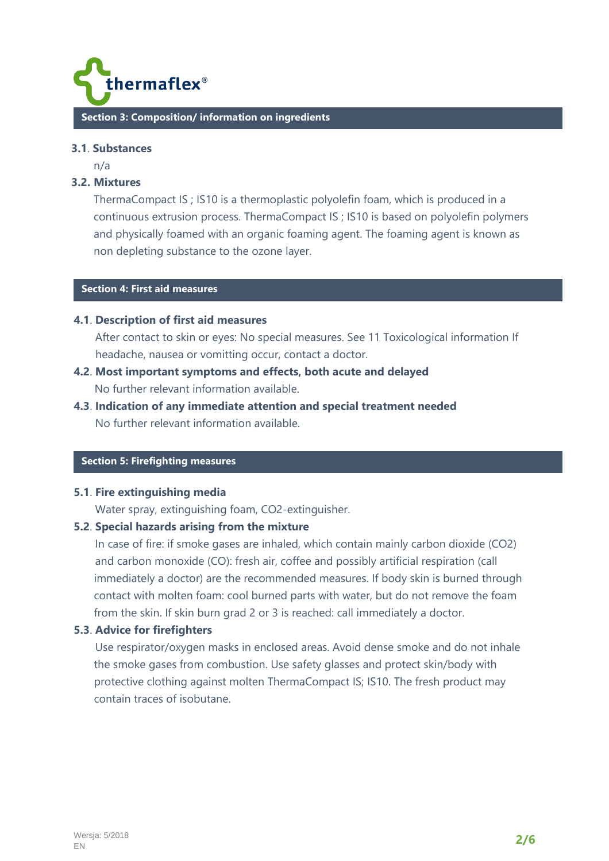

#### **3.1**. **Substances**

n/a

#### **3.2. Mixtures**

ThermaCompact IS ; IS10 is a thermoplastic polyolefin foam, which is produced in a continuous extrusion process. ThermaCompact IS ; IS10 is based on polyolefin polymers and physically foamed with an organic foaming agent. The foaming agent is known as non depleting substance to the ozone layer.

# **C Section 4: First aid measures**

#### **4.1**. **Description of first aid measures**

 After contact to skin or eyes: No special measures. See 11 Toxicological information If headache, nausea or vomitting occur, contact a doctor.

- **4.2**. **Most important symptoms and effects, both acute and delayed**  No further relevant information available.
- **4.3**. **Indication of any immediate attention and special treatment needed**  No further relevant information available.

# **C Section 5: Firefighting measures**

#### **5.1**. **Fire extinguishing media**

Water spray, extinguishing foam, CO2-extinguisher.

#### **5.2**. **Special hazards arising from the mixture**

 In case of fire: if smoke gases are inhaled, which contain mainly carbon dioxide (CO2) and carbon monoxide (CO): fresh air, coffee and possibly artificial respiration (call immediately a doctor) are the recommended measures. If body skin is burned through contact with molten foam: cool burned parts with water, but do not remove the foam from the skin. If skin burn grad 2 or 3 is reached: call immediately a doctor.

#### **5.3**. **Advice for firefighters**

 Use respirator/oxygen masks in enclosed areas. Avoid dense smoke and do not inhale the smoke gases from combustion. Use safety glasses and protect skin/body with protective clothing against molten ThermaCompact IS; IS10. The fresh product may contain traces of isobutane.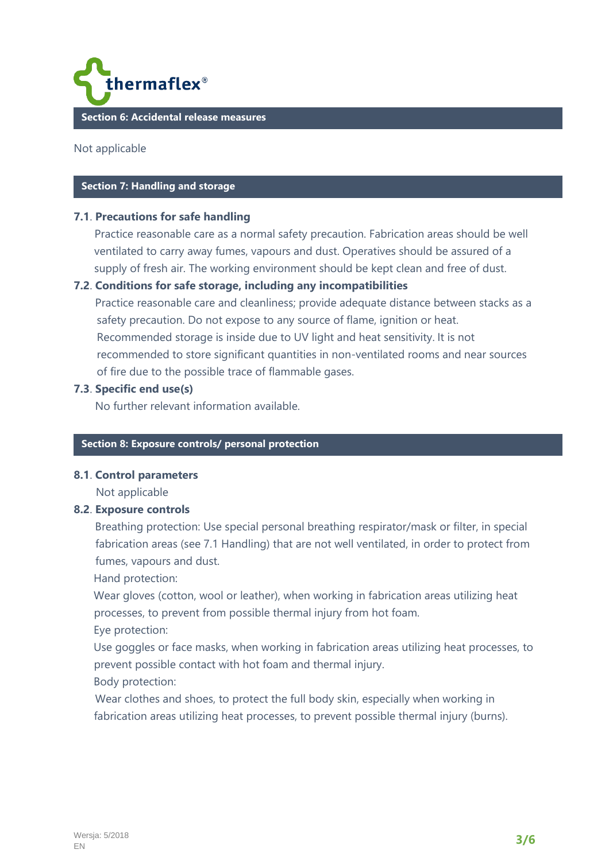

Not applicable

#### **Section 7: Handling and storage**

#### **7.1**. **Precautions for safe handling**

Practice reasonable care as a normal safety precaution. Fabrication areas should be well ventilated to carry away fumes, vapours and dust. Operatives should be assured of a supply of fresh air. The working environment should be kept clean and free of dust.

# **7.2**. **Conditions for safe storage, including any incompatibilities**

 Practice reasonable care and cleanliness; provide adequate distance between stacks as a safety precaution. Do not expose to any source of flame, ignition or heat. Recommended storage is inside due to UV light and heat sensitivity. It is not recommended to store significant quantities in non-ventilated rooms and near sources of fire due to the possible trace of flammable gases.

#### **7.3**. **Specific end use(s)**

No further relevant information available.

#### **Section 8: Exposure controls/ personal protection**

#### **8.1**. **Control parameters**

Not applicable

#### **8.2**. **Exposure controls**

 Breathing protection: Use special personal breathing respirator/mask or filter, in special fabrication areas (see 7.1 Handling) that are not well ventilated, in order to protect from fumes, vapours and dust.

Hand protection:

 Wear gloves (cotton, wool or leather), when working in fabrication areas utilizing heat processes, to prevent from possible thermal injury from hot foam.

Eye protection:

 Use goggles or face masks, when working in fabrication areas utilizing heat processes, to prevent possible contact with hot foam and thermal injury.

Body protection:

 Wear clothes and shoes, to protect the full body skin, especially when working in fabrication areas utilizing heat processes, to prevent possible thermal injury (burns).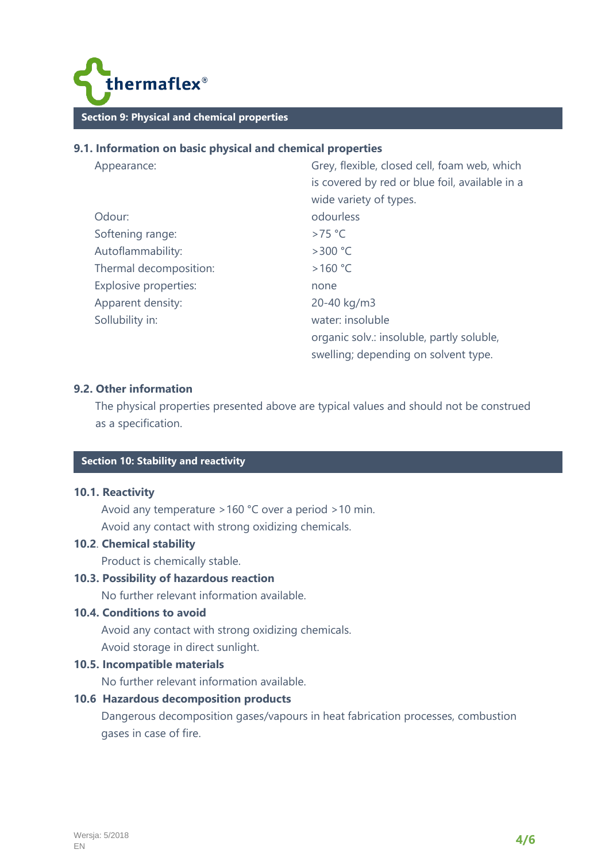

# **9.1. Information on basic physical and chemical properties**

| Appearance:            | Grey, flexible, closed cell, foam web, which   |
|------------------------|------------------------------------------------|
|                        | is covered by red or blue foil, available in a |
|                        | wide variety of types.                         |
| Odour:                 | odourless                                      |
| Softening range:       | $>75$ °C                                       |
| Autoflammability:      | $>300$ °C                                      |
| Thermal decomposition: | >160 °C                                        |
| Explosive properties:  | none                                           |
| Apparent density:      | 20-40 kg/m3                                    |
| Sollubility in:        | water: insoluble                               |
|                        | organic solv.: insoluble, partly soluble,      |
|                        | swelling; depending on solvent type.           |

## **9.2. Other information**

 The physical properties presented above are typical values and should not be construed as a specification.

# **C Section 10: Stability and reactivity**

#### **10.1. Reactivity**

 Avoid any temperature >160 °C over a period >10 min. Avoid any contact with strong oxidizing chemicals.

# **10.2**. **Chemical stability**

Product is chemically stable.

# **10.3. Possibility of hazardous reaction**

No further relevant information available.

# **10.4. Conditions to avoid**

 Avoid any contact with strong oxidizing chemicals. Avoid storage in direct sunlight.

#### **10.5. Incompatible materials**

No further relevant information available.

# **10.6 Hazardous decomposition products**

 Dangerous decomposition gases/vapours in heat fabrication processes, combustion gases in case of fire.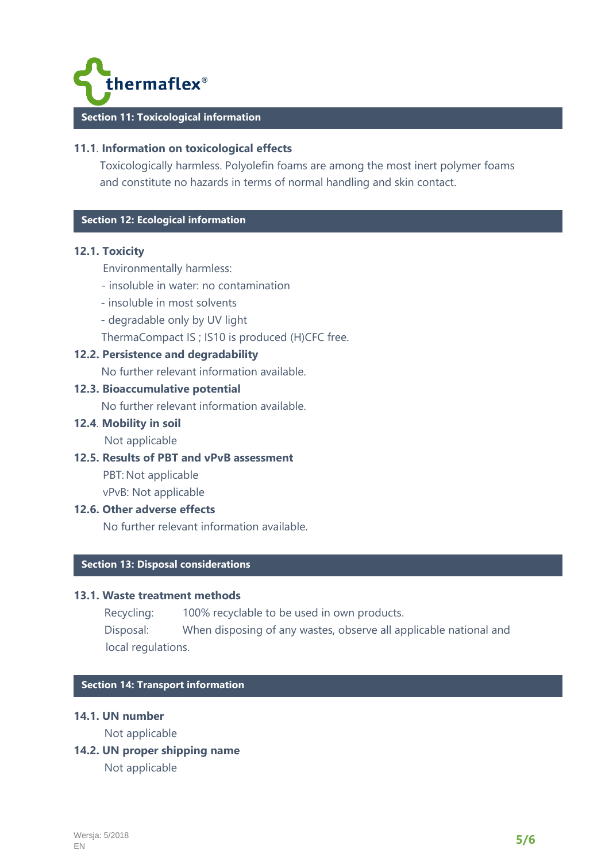

# **11.1**. **Information on toxicological effects**

Toxicologically harmless. Polyolefin foams are among the most inert polymer foams and constitute no hazards in terms of normal handling and skin contact.

# **C Section 12: Ecological information**

#### **12.1. Toxicity**

Environmentally harmless:

- insoluble in water: no contamination
- insoluble in most solvents
- degradable only by UV light

ThermaCompact IS ; IS10 is produced (H)CFC free.

# **12.2. Persistence and degradability**

No further relevant information available.

## **12.3. Bioaccumulative potential**

No further relevant information available.

## **12.4**. **Mobility in soil**

Not applicable

## **12.5. Results of PBT and vPvB assessment**

PBT: Not applicable vPvB: Not applicable

#### **12.6. Other adverse effects**

No further relevant information available.

# **C Section 13: Disposal considerations**

#### **13.1. Waste treatment methods**

Recycling: 100% recyclable to be used in own products.

 Disposal: When disposing of any wastes, observe all applicable national and local regulations.

#### **Section 14: Transport information**

## **14.1. UN number**

Not applicable

**14.2. UN proper shipping name** 

Not applicable